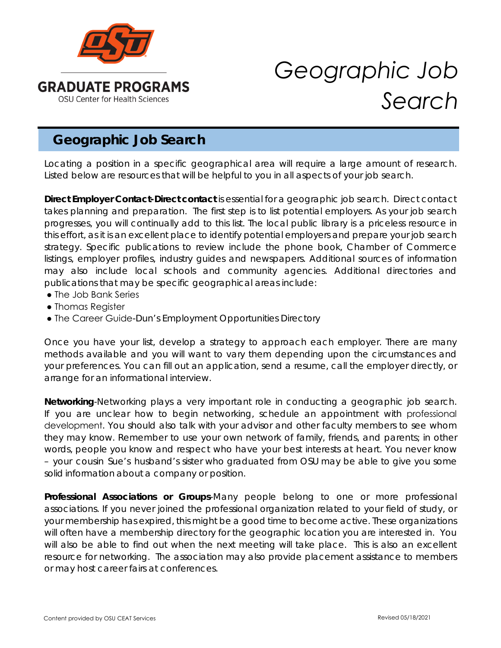

## *Geographic Job Search*

## **Geographic Job Search**

Locating a position in a specific geographical area will require a large amount of research. Listed below are resources that will be helpful to you in all aspects of your job search.

*Direct Employer Contact-Direct contact* is essential for a geographic job search. Direct contact takes planning and preparation. The first step is to list potential employers. As your job search progresses, you will continually add to this list. The local public library is a priceless resource in this effort, as it is an excellent place to identify potential employers and prepare your job search strategy. Specific publications to review include the phone book, Chamber of Commerce listings, employer profiles, industry guides and newspapers. Additional sources of information may also include local schools and community agencies. Additional directories and publications that may be specific geographical areas include:

- The Job Bank Series
- Thomas Register
- The Career Guide-Dun's Employment Opportunities Directory

Once you have your list, develop a strategy to approach each employer. There are many methods available and you will want to vary them depending upon the circumstances and your preferences. You can fill out an application, send a resume, call the employer directly, or arrange for an informational interview.

*Networking*-Networking plays a very important role in conducting a geographic job search. If you are unclear how to begin networking, schedule an appointment with professional development. You should also talk with your advisor and other faculty members to see whom they may know. Remember to use your own network of family, friends, and parents; in other words, people you know and respect who have your best interests at heart. You never know – your cousin Sue's husband's sister who graduated from OSU may be able to give you some solid information about a company or position.

*Professional Associations or Groups*-Many people belong to one or more professional associations. If you never joined the professional organization related to your field of study, or your membership has expired, this might be a good time to become active. These organizations will often have a membership directory for the geographic location you are interested in. You will also be able to find out when the next meeting will take place. This is also an excellent resource for networking. The association may also provide placement assistance to members or may host career fairs at conferences.